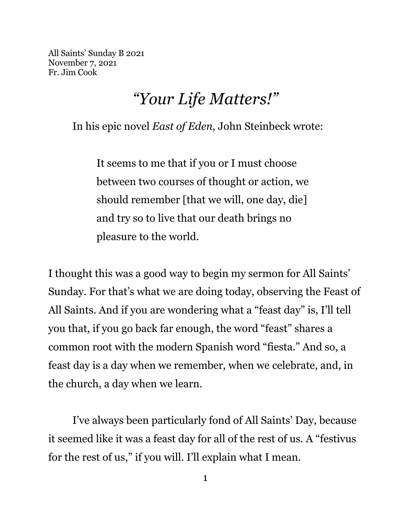All Saints' Sunday B 2021 November 7, 2021 Fr. Jim Cook

## *"Your Life Matters!"*

In his epic novel *East of Eden*, John Steinbeck wrote:

It seems to me that if you or I must choose between two courses of thought or action, we should remember [that we will, one day, die] and try so to live that our death brings no pleasure to the world.

I thought this was a good way to begin my sermon for All Saints' Sunday. For that's what we are doing today, observing the Feast of All Saints. And if you are wondering what a "feast day" is, I'll tell you that, if you go back far enough, the word "feast" shares a common root with the modern Spanish word "fiesta." And so, a feast day is a day when we remember, when we celebrate, and, in the church, a day when we learn.

I've always been particularly fond of All Saints' Day, because it seemed like it was a feast day for all of the rest of us. A "festivus for the rest of us," if you will. I'll explain what I mean.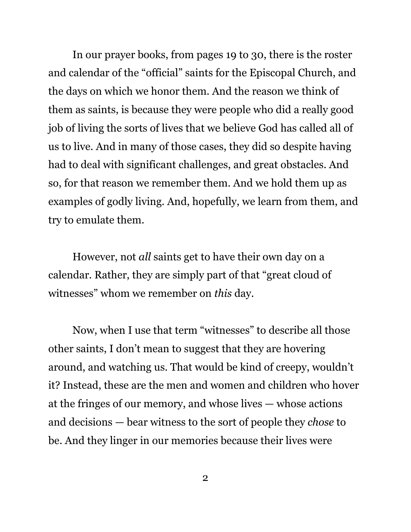In our prayer books, from pages 19 to 30, there is the roster and calendar of the "official" saints for the Episcopal Church, and the days on which we honor them. And the reason we think of them as saints, is because they were people who did a really good job of living the sorts of lives that we believe God has called all of us to live. And in many of those cases, they did so despite having had to deal with significant challenges, and great obstacles. And so, for that reason we remember them. And we hold them up as examples of godly living. And, hopefully, we learn from them, and try to emulate them.

However, not *all* saints get to have their own day on a calendar. Rather, they are simply part of that "great cloud of witnesses" whom we remember on *this* day.

Now, when I use that term "witnesses" to describe all those other saints, I don't mean to suggest that they are hovering around, and watching us. That would be kind of creepy, wouldn't it? Instead, these are the men and women and children who hover at the fringes of our memory, and whose lives — whose actions and decisions — bear witness to the sort of people they *chose* to be. And they linger in our memories because their lives were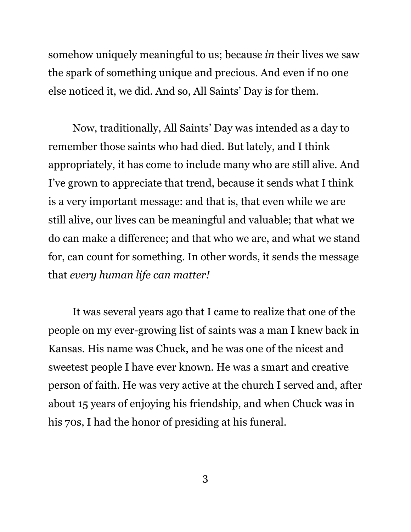somehow uniquely meaningful to us; because *in* their lives we saw the spark of something unique and precious. And even if no one else noticed it, we did. And so, All Saints' Day is for them.

Now, traditionally, All Saints' Day was intended as a day to remember those saints who had died. But lately, and I think appropriately, it has come to include many who are still alive. And I've grown to appreciate that trend, because it sends what I think is a very important message: and that is, that even while we are still alive, our lives can be meaningful and valuable; that what we do can make a difference; and that who we are, and what we stand for, can count for something. In other words, it sends the message that *every human life can matter!*

It was several years ago that I came to realize that one of the people on my ever-growing list of saints was a man I knew back in Kansas. His name was Chuck, and he was one of the nicest and sweetest people I have ever known. He was a smart and creative person of faith. He was very active at the church I served and, after about 15 years of enjoying his friendship, and when Chuck was in his 70s, I had the honor of presiding at his funeral.

3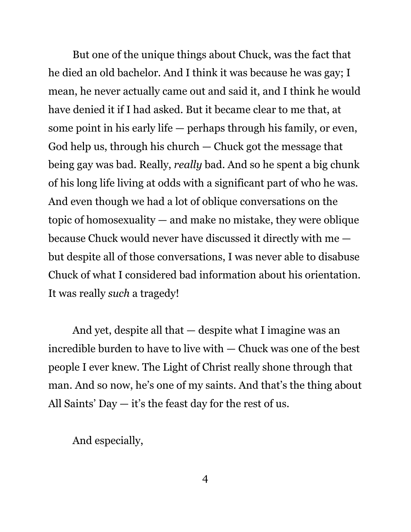But one of the unique things about Chuck, was the fact that he died an old bachelor. And I think it was because he was gay; I mean, he never actually came out and said it, and I think he would have denied it if I had asked. But it became clear to me that, at some point in his early life — perhaps through his family, or even, God help us, through his church — Chuck got the message that being gay was bad. Really, *really* bad. And so he spent a big chunk of his long life living at odds with a significant part of who he was. And even though we had a lot of oblique conversations on the topic of homosexuality — and make no mistake, they were oblique because Chuck would never have discussed it directly with me but despite all of those conversations, I was never able to disabuse Chuck of what I considered bad information about his orientation. It was really *such* a tragedy!

And yet, despite all that — despite what I imagine was an incredible burden to have to live with — Chuck was one of the best people I ever knew. The Light of Christ really shone through that man. And so now, he's one of my saints. And that's the thing about All Saints' Day — it's the feast day for the rest of us.

And especially,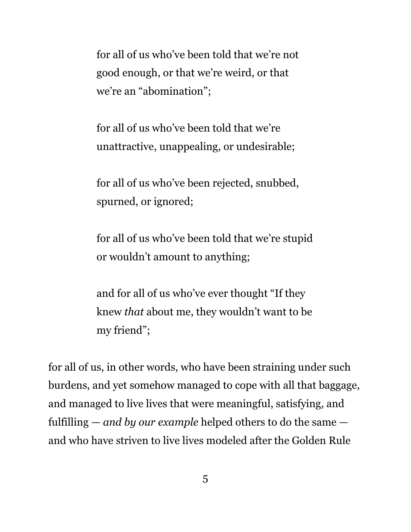for all of us who've been told that we're not good enough, or that we're weird, or that we're an "abomination";

for all of us who've been told that we're unattractive, unappealing, or undesirable;

for all of us who've been rejected, snubbed, spurned, or ignored;

for all of us who've been told that we're stupid or wouldn't amount to anything;

and for all of us who've ever thought "If they knew *that* about me, they wouldn't want to be my friend";

for all of us, in other words, who have been straining under such burdens, and yet somehow managed to cope with all that baggage, and managed to live lives that were meaningful, satisfying, and fulfilling — *and by our example* helped others to do the same and who have striven to live lives modeled after the Golden Rule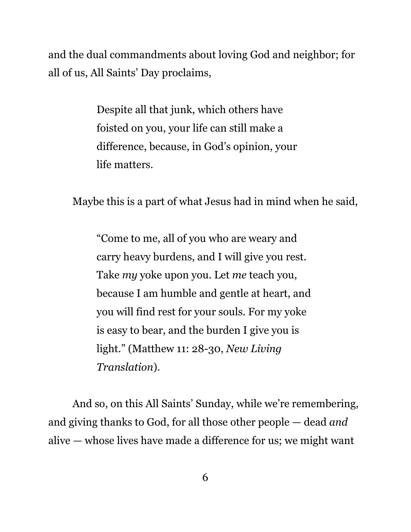and the dual commandments about loving God and neighbor; for all of us, All Saints' Day proclaims,

> Despite all that junk, which others have foisted on you, your life can still make a difference, because, in God's opinion, your life matters.

Maybe this is a part of what Jesus had in mind when he said,

"Come to me, all of you who are weary and carry heavy burdens, and I will give you rest. Take *my* yoke upon you. Let *me* teach you, because I am humble and gentle at heart, and you will find rest for your souls. For my yoke is easy to bear, and the burden I give you is light." (Matthew 11: 28-30, *New Living Translation*).

And so, on this All Saints' Sunday, while we're remembering, and giving thanks to God, for all those other people — dead *and* alive — whose lives have made a difference for us; we might want